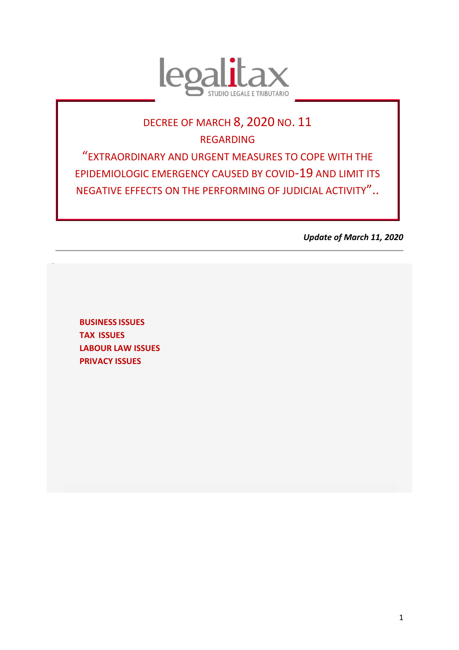

# DECREE OF MARCH 8, 2020 NO. 11 REGARDING "EXTRAORDINARY AND URGENT MEASURES TO COPE WITH THE EPIDEMIOLOGIC EMERGENCY CAUSED BY COVID-19 AND LIMIT ITS NEGATIVE EFFECTS ON THE PERFORMING OF JUDICIAL ACTIVITY"..

*Update of March 11, 2020*

**BUSINESS ISSUES TAX ISSUES [LABOUR LAW ISSUES](#page-7-0) [PRIVACY](#page-8-0) ISSUES**

<span id="page-0-0"></span>[TORNAS](#page-0-0) **U**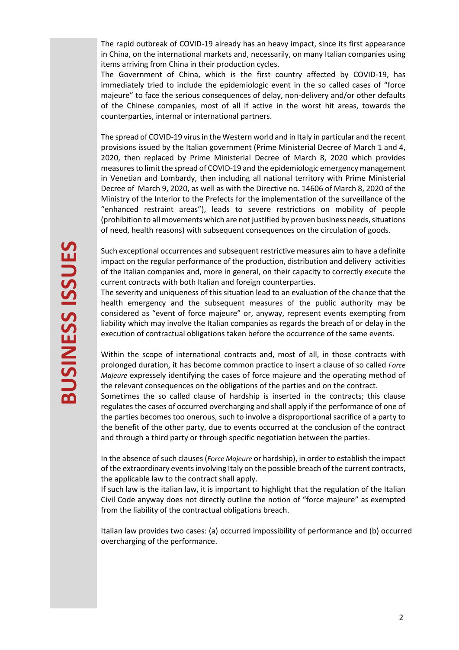The rapid outbreak of COVID-19 already has an heavy impact, since its first appearance in China, on the international markets and, necessarily, on many Italian companies using items arriving from China in their production cycles.

The Government of China, which is the first country affected by COVID-19, has immediately tried to include the epidemiologic event in the so called cases of "force majeure" to face the serious consequences of delay, non-delivery and/or other defaults of the Chinese companies, most of all if active in the worst hit areas, towards the counterparties, internal or international partners.

The spread of COVID-19 virus in the Western world and in Italy in particular and the recent provisions issued by the Italian government (Prime Ministerial Decree of March 1 and 4, 2020, then replaced by Prime Ministerial Decree of March 8, 2020 which provides measures to limit the spread of COVID-19 and the epidemiologic emergency management in Venetian and Lombardy, then including all national territory with Prime Ministerial Decree of March 9, 2020, as well as with the Directive no. 14606 of March 8, 2020 of the Ministry of the Interior to the Prefects for the implementation of the surveillance of the "enhanced restraint areas"), leads to severe restrictions on mobility of people (prohibition to all movements which are not justified by proven business needs, situations of need, health reasons) with subsequent consequences on the circulation of goods.

Such exceptional occurrences and subsequent restrictive measures aim to have a definite impact on the regular performance of the production, distribution and delivery activities of the Italian companies and, more in general, on their capacity to correctly execute the current contracts with both Italian and foreign counterparties.

The severity and uniqueness of this situation lead to an evaluation of the chance that the health emergency and the subsequent measures of the public authority may be considered as "event of force majeure" or, anyway, represent events exempting from liability which may involve the Italian companies as regards the breach of or delay in the execution of contractual obligations taken before the occurrence of the same events.

Within the scope of international contracts and, most of all, in those contracts with prolonged duration, it has become common practice to insert a clause of so called *Force Majeure* expressely identifying the cases of force majeure and the operating method of the relevant consequences on the obligations of the parties and on the contract.

Sometimes the so called clause of hardship is inserted in the contracts; this clause regulates the cases of occurred overcharging and shall apply if the performance of one of the parties becomes too onerous, such to involve a disproportional sacrifice of a party to the benefit of the other party, due to events occurred at the conclusion of the contract and through a third party or through specific negotiation between the parties.

In the absence of such clauses (*Force Majeure* or hardship), in order to establish the impact of the extraordinary events involving Italy on the possible breach of the current contracts, the applicable law to the contract shall apply.

If such law is the italian law, it is important to highlight that the regulation of the Italian Civil Code anyway does not directly outline the notion of "force majeure" as exempted from the liability of the contractual obligations breach.

Italian law provides two cases: (a) occurred impossibility of performance and (b) occurred overcharging of the performance.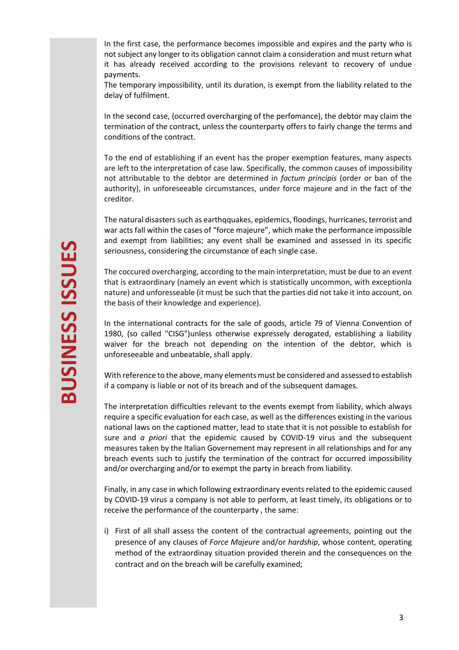In the first case, the performance becomes impossible and expires and the party who is not subject any longer to its obligation cannot claim a consideration and must return what it has already received according to the provisions relevant to recovery of undue payments.

The temporary impossibility, until its duration, is exempt from the liability related to the delay of fulfilment.

In the second case, (occurred overcharging of the perfomance), the debtor may claim the termination of the contract, unless the counterparty offers to fairly change the terms and conditions of the contract.

To the end of establishing if an event has the proper exemption features, many aspects are left to the interpretation of case law. Specifically, the common causes of impossibility not attributable to the debtor are determined in *factum principis* (order or ban of the authority), in unforeseeable circumstances, under force majeure and in the fact of the creditor.

The natural disasters such as earthqquakes, epidemics, floodings, hurricanes, terrorist and war acts fall within the cases of "force majeure", which make the performance impossible and exempt from liabilities; any event shall be examined and assessed in its specific seriousness, considering the circumstance of each single case.

The coccured overcharging, according to the main interpretation, must be due to an event that is extraordinary (namely an event which is statistically uncommon, with exceptionla nature) and unforesseable (it must be such that the parties did not take it into account, on the basis of their knowledge and experience).

In the international contracts for the sale of goods, article 79 of Vienna Convention of 1980, (so called "CISG")unless otherwise expressely derogated, establishing a liability waiver for the breach not depending on the intention of the debtor, which is unforeseeable and unbeatable, shall apply.

With reference to the above, many elements must be considered and assessed to establish if a company is liable or not of its breach and of the subsequent damages.

The interpretation difficulties relevant to the events exempt from liability, which always require a specific evaluation for each case, as well as the differences existing in the various national laws on the captioned matter, lead to state that it is not possible to establish for sure and *a priori* that the epidemic caused by COVID-19 virus and the subsequent measures taken by the Italian Governement may represent in all relationships and for any breach events such to justify the termination of the contract for occurred impossibility and/or overcharging and/or to exempt the party in breach from liability.

Finally, in any case in which following extraordinary events related to the epidemic caused by COVID-19 virus a company is not able to perform, at least timely, its obligations or to receive the performance of the counterparty , the same:

i) First of all shall assess the content of the contractual agreements, pointing out the presence of any clauses of *Force Majeure* and/or *hardship*, whose content, operating method of the extraordinay situation provided therein and the consequences on the contract and on the breach will be carefully examined;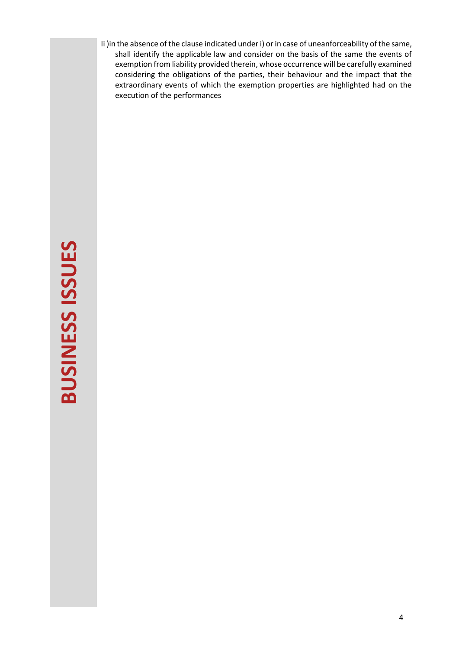Ii )in the absence of the clause indicated under i) or in case of uneanforceability of the same, shall identify the applicable law and consider on the basis of the same the events of exemption from liability provided therein, whose occurrence will be carefully examined considering the obligations of the parties, their behaviour and the impact that the extraordinary events of which the exemption properties are highlighted had on the execution of the performances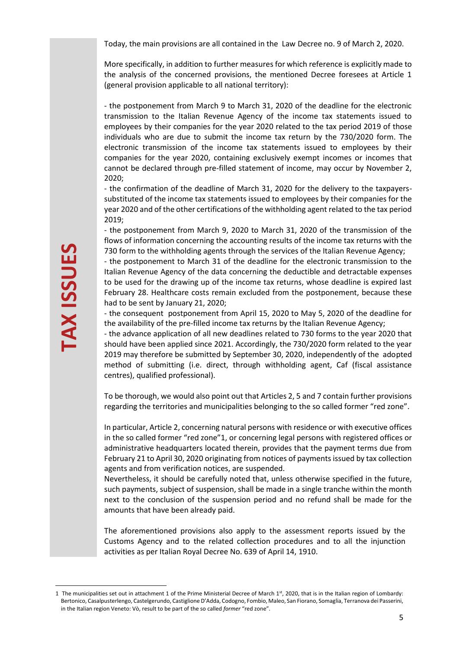Today, the main provisions are all contained in the Law Decree no. 9 of March 2, 2020.

More specifically, in addition to further measures for which reference is explicitly made to the analysis of the concerned provisions, the mentioned Decree foresees at Article 1 (general provision applicable to all national territory):

- the postponement from March 9 to March 31, 2020 of the deadline for the electronic transmission to the Italian Revenue Agency of the income tax statements issued to employees by their companies for the year 2020 related to the tax period 2019 of those individuals who are due to submit the income tax return by the 730/2020 form. The electronic transmission of the income tax statements issued to employees by their companies for the year 2020, containing exclusively exempt incomes or incomes that cannot be declared through pre-filled statement of income, may occur by November 2, 2020;

- the confirmation of the deadline of March 31, 2020 for the delivery to the taxpayerssubstituted of the income tax statements issued to employees by their companies for the year 2020 and of the other certifications of the withholding agent related to the tax period 2019;

- the postponement from March 9, 2020 to March 31, 2020 of the transmission of the flows of information concerning the accounting results of the income tax returns with the 730 form to the withholding agents through the services of the Italian Revenue Agency;

- the postponement to March 31 of the deadline for the electronic transmission to the Italian Revenue Agency of the data concerning the deductible and detractable expenses to be used for the drawing up of the income tax returns, whose deadline is expired last February 28. Healthcare costs remain excluded from the postponement, because these had to be sent by January 21, 2020;

- the consequent postponement from April 15, 2020 to May 5, 2020 of the deadline for the availability of the pre-filled income tax returns by the Italian Revenue Agency;

- the advance application of all new deadlines related to 730 forms to the year 2020 that should have been applied since 2021. Accordingly, the 730/2020 form related to the year 2019 may therefore be submitted by September 30, 2020, independently of the adopted method of submitting (i.e. direct, through withholding agent, Caf (fiscal assistance centres), qualified professional).

To be thorough, we would also point out that Articles 2, 5 and 7 contain further provisions regarding the territories and municipalities belonging to the so called former "red zone".

In particular, Article 2, concerning natural persons with residence or with executive offices in the so called former "red zone"1, or concerning legal persons with registered offices or administrative headquarters located therein, provides that the payment terms due from February 21 to April 30, 2020 originating from notices of payments issued by tax collection agents and from verification notices, are suspended.

Nevertheless, it should be carefully noted that, unless otherwise specified in the future, such payments, subject of suspension, shall be made in a single tranche within the month next to the conclusion of the suspension period and no refund shall be made for the amounts that have been already paid.

The aforementioned provisions also apply to the assessment reports issued by the Customs Agency and to the related collection procedures and to all the injunction activities as per Italian Royal Decree No. 639 of April 14, 1910.

<sup>1</sup> The municipalities set out in attachment 1 of the Prime Ministerial Decree of March  $1<sup>st</sup>$ , 2020, that is in the Italian region of Lombardy: Bertonico, Casalpusterlengo, Castelgerundo, Castiglione D'Adda, Codogno, Fombio, Maleo, San Fiorano, Somaglia, Terranova dei Passerini, in the Italian region Veneto: Vò, result to be part of the so called *former* "red zone".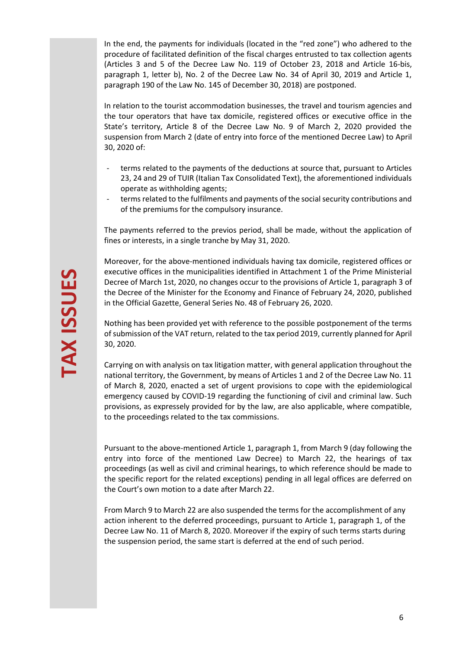In the end, the payments for individuals (located in the "red zone") who adhered to the procedure of facilitated definition of the fiscal charges entrusted to tax collection agents (Articles 3 and 5 of the Decree Law No. 119 of October 23, 2018 and Article 16-bis, paragraph 1, letter b), No. 2 of the Decree Law No. 34 of April 30, 2019 and Article 1, paragraph 190 of the Law No. 145 of December 30, 2018) are postponed.

In relation to the tourist accommodation businesses, the travel and tourism agencies and the tour operators that have tax domicile, registered offices or executive office in the State's territory, Article 8 of the Decree Law No. 9 of March 2, 2020 provided the suspension from March 2 (date of entry into force of the mentioned Decree Law) to April 30, 2020 of:

- terms related to the payments of the deductions at source that, pursuant to Articles 23, 24 and 29 of TUIR (Italian Tax Consolidated Text), the aforementioned individuals operate as withholding agents;
- terms related to the fulfilments and payments of the social security contributions and of the premiums for the compulsory insurance.

The payments referred to the previos period, shall be made, without the application of fines or interests, in a single tranche by May 31, 2020.

Moreover, for the above-mentioned individuals having tax domicile, registered offices or executive offices in the municipalities identified in Attachment 1 of the Prime Ministerial Decree of March 1st, 2020, no changes occur to the provisions of Article 1, paragraph 3 of the Decree of the Minister for the Economy and Finance of February 24, 2020, published in the Official Gazette, General Series No. 48 of February 26, 2020.

Nothing has been provided yet with reference to the possible postponement of the terms of submission of the VAT return, related to the tax period 2019, currently planned for April 30, 2020.

Carrying on with analysis on tax litigation matter, with general application throughout the national territory, the Government, by means of Articles 1 and 2 of the Decree Law No. 11 of March 8, 2020, enacted a set of urgent provisions to cope with the epidemiological emergency caused by COVID-19 regarding the functioning of civil and criminal law. Such provisions, as expressely provided for by the law, are also applicable, where compatible, to the proceedings related to the tax commissions.

Pursuant to the above-mentioned Article 1, paragraph 1, from March 9 (day following the entry into force of the mentioned Law Decree) to March 22, the hearings of tax proceedings (as well as civil and criminal hearings, to which reference should be made to the specific report for the related exceptions) pending in all legal offices are deferred on the Court's own motion to a date after March 22.

From March 9 to March 22 are also suspended the terms for the accomplishment of any action inherent to the deferred proceedings, pursuant to Article 1, paragraph 1, of the Decree Law No. 11 of March 8, 2020. Moreover if the expiry of such terms starts during the suspension period, the same start is deferred at the end of such period.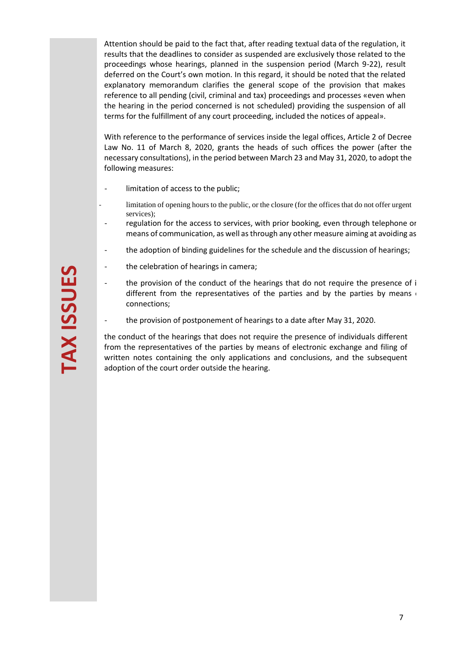Attention should be paid to the fact that, after reading textual data of the regulation, it results that the deadlines to consider as suspended are exclusively those related to the proceedings whose hearings, planned in the suspension period (March 9-22), result deferred on the Court's own motion. In this regard, it should be noted that the related explanatory memorandum clarifies the general scope of the provision that makes reference to all pending (civil, criminal and tax) proceedings and processes «even when the hearing in the period concerned is not scheduled) providing the suspension of all terms for the fulfillment of any court proceeding, included the notices of appeal».

With reference to the performance of services inside the legal offices, Article 2 of Decree Law No. 11 of March 8, 2020, grants the heads of such offices the power (after the necessary consultations), in the period between March 23 and May 31, 2020, to adopt the following measures:

- limitation of access to the public;
- limitation of opening hours to the public, or the closure (for the offices that do not offer urgent services);
- regulation for the access to services, with prior booking, even through telephone or means of communication, as well as through any other measure aiming at avoiding as
- the adoption of binding guidelines for the schedule and the discussion of hearings;
- the celebration of hearings in camera;
- the provision of the conduct of the hearings that do not require the presence of i different from the representatives of the parties and by the parties by means  $\epsilon$ connections;
- the provision of postponement of hearings to a date after May 31, 2020.

the conduct of the hearings that does not require the presence of individuals different from the representatives of the parties by means of electronic exchange and filing of written notes containing the only applications and conclusions, and the subsequent adoption of the court order outside the hearing.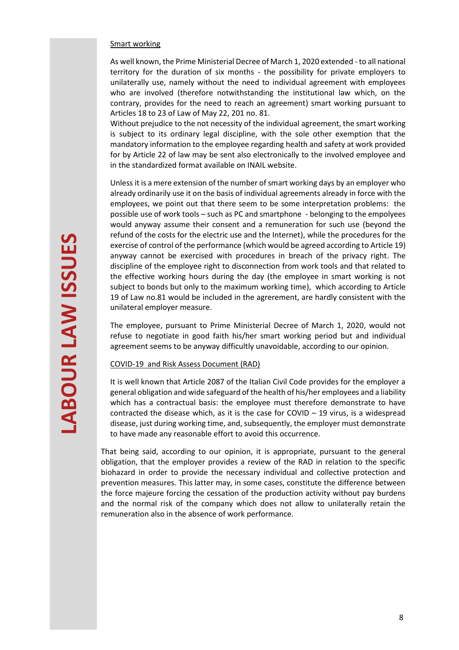### Smart working

As well known, the Prime Ministerial Decree of March 1, 2020 extended - to all national territory for the duration of six months - the possibility for private employers to unilaterally use, namely without the need to individual agreement with employees who are involved (therefore notwithstanding the institutional law which, on the contrary, provides for the need to reach an agreement) smart working pursuant to Articles 18 to 23 of Law of May 22, 201 no. 81.

Without prejudice to the not necessity of the individual agreement, the smart working is subject to its ordinary legal discipline, with the sole other exemption that the mandatory information to the employee regarding health and safety at work provided for by Article 22 of law may be sent also electronically to the involved employee and in the standardized format available on INAIL website.

<span id="page-7-0"></span>Unless it is a mere extension of the number of smart working days by an employer who already ordinarily use it on the basis of individual agreements already in force with the employees, we point out that there seem to be some interpretation problems: the possible use of work tools – such as PC and smartphone - belonging to the empolyees would anyway assume their consent and a remuneration for such use (beyond the refund of the costs for the electric use and the Internet), while the procedures for the exercise of control of the performance (which would be agreed according to Article 19) anyway cannot be exercised with procedures in breach of the privacy right. The discipline of the employee right to disconnection from work tools and that related to the effective working hours during the day (the employee in smart working is not subject to bonds but only to the maximum working time), which according to Article 19 of Law no.81 would be included in the agrerement, are hardly consistent with the unilateral employer measure.

The employee, pursuant to Prime Ministerial Decree of March 1, 2020, would not refuse to negotiate in good faith his/her smart working period but and individual agreement seems to be anyway difficultly unavoidable, according to our opinion.

## COVID-19 and Risk Assess Document (RAD)

It is well known that Article 2087 of the Italian Civil Code provides for the employer a general obligation and wide safeguard of the health of his/her employees and a liability which has a contractual basis: the employee must therefore demonstrate to have contracted the disease which, as it is the case for COVID  $-$  19 virus, is a widespread disease, just during working time, and, subsequently, the employer must demonstrate to have made any reasonable effort to avoid this occurrence.

That being said, according to our opinion, it is appropriate, pursuant to the general obligation, that the employer provides a review of the RAD in relation to the specific biohazard in order to provide the necessary individual and collective protection and prevention measures. This latter may, in some cases, constitute the difference between the force majeure forcing the cessation of the production activity without pay burdens and the normal risk of the company which does not allow to unilaterally retain the remuneration also in the absence of work performance.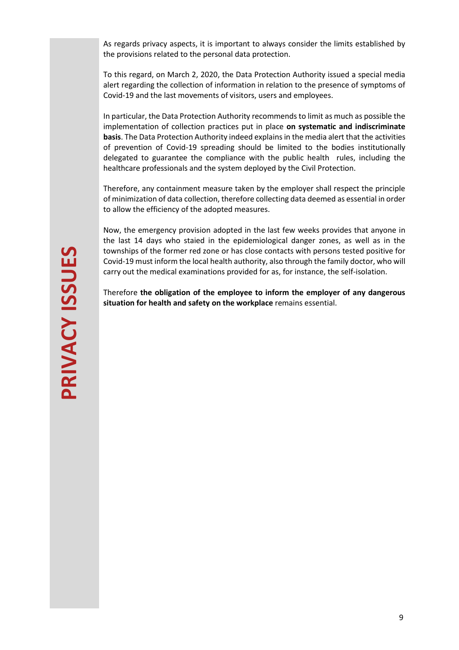As regards privacy aspects, it is important to always consider the limits established by the provisions related to the personal data protection.

To this regard, on March 2, 2020, the Data Protection Authority issued a special media alert regarding the collection of information in relation to the presence of symptoms of Covid-19 and the last movements of visitors, users and employees.

In particular, the Data Protection Authority recommends to limit as much as possible the implementation of collection practices put in place **on systematic and indiscriminate basis**. The Data Protection Authority indeed explains in the media alert that the activities of prevention of Covid-19 spreading should be limited to the bodies institutionally delegated to guarantee the compliance with the public health rules, including the healthcare professionals and the system deployed by the Civil Protection.

Therefore, any containment measure taken by the employer shall respect the principle of minimization of data collection, therefore collecting data deemed as essential in order to allow the efficiency of the adopted measures.

Now, the emergency provision adopted in the last few weeks provides that anyone in the last 14 days who staied in the epidemiological danger zones, as well as in the townships of the former red zone or has close contacts with persons tested positive for Covid-19 must inform the local health authority, also through the family doctor, who will carry out the medical examinations provided for as, for instance, the self-isolation.

<span id="page-8-0"></span>Therefore **the obligation of the employee to inform the employer of any dangerous situation for health and safety on the workplace** remains essential.